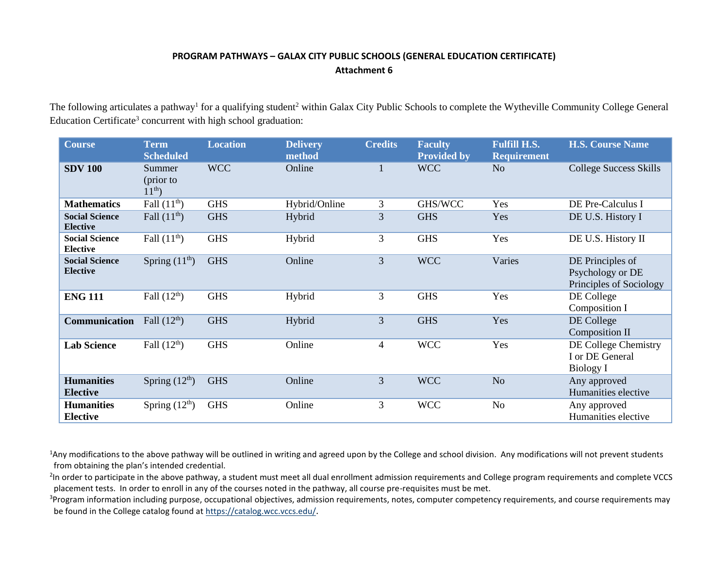## **PROGRAM PATHWAYS – GALAX CITY PUBLIC SCHOOLS (GENERAL EDUCATION CERTIFICATE) Attachment 6**

The following articulates a pathway<sup>1</sup> for a qualifying student<sup>2</sup> within Galax City Public Schools to complete the Wytheville Community College General Education Certificate<sup>3</sup> concurrent with high school graduation:

| <b>Course</b>                            | <b>Term</b><br><b>Scheduled</b>    | <b>Location</b> | <b>Delivery</b><br>method | <b>Credits</b> | <b>Faculty</b><br><b>Provided by</b> | <b>Fulfill H.S.</b><br><b>Requirement</b> | <b>H.S. Course Name</b>                                         |
|------------------------------------------|------------------------------------|-----------------|---------------------------|----------------|--------------------------------------|-------------------------------------------|-----------------------------------------------------------------|
| <b>SDV 100</b>                           | Summer<br>(prior to<br>$11^{th}$ ) | <b>WCC</b>      | Online                    |                | <b>WCC</b>                           | N <sub>o</sub>                            | <b>College Success Skills</b>                                   |
| <b>Mathematics</b>                       | Fall $(11^{th})$                   | <b>GHS</b>      | Hybrid/Online             | 3              | GHS/WCC                              | Yes                                       | DE Pre-Calculus I                                               |
| <b>Social Science</b><br><b>Elective</b> | Fall $(11th)$                      | <b>GHS</b>      | Hybrid                    | 3              | <b>GHS</b>                           | Yes                                       | DE U.S. History I                                               |
| <b>Social Science</b><br><b>Elective</b> | Fall $(11th)$                      | <b>GHS</b>      | Hybrid                    | 3              | <b>GHS</b>                           | Yes                                       | DE U.S. History II                                              |
| <b>Social Science</b><br><b>Elective</b> | Spring $(11th)$                    | <b>GHS</b>      | Online                    | 3              | <b>WCC</b>                           | Varies                                    | DE Principles of<br>Psychology or DE<br>Principles of Sociology |
| <b>ENG 111</b>                           | Fall $(12th)$                      | <b>GHS</b>      | Hybrid                    | 3              | <b>GHS</b>                           | Yes                                       | DE College<br>Composition I                                     |
| Communication                            | Fall $(12th)$                      | <b>GHS</b>      | Hybrid                    | 3              | <b>GHS</b>                           | Yes                                       | DE College<br><b>Composition II</b>                             |
| <b>Lab Science</b>                       | Fall $(12th)$                      | <b>GHS</b>      | Online                    | $\overline{4}$ | <b>WCC</b>                           | Yes                                       | DE College Chemistry<br>I or DE General<br><b>Biology I</b>     |
| <b>Humanities</b><br><b>Elective</b>     | Spring $(12th)$                    | <b>GHS</b>      | Online                    | 3              | <b>WCC</b>                           | N <sub>o</sub>                            | Any approved<br>Humanities elective                             |
| <b>Humanities</b><br><b>Elective</b>     | Spring $(12th)$                    | <b>GHS</b>      | Online                    | 3              | <b>WCC</b>                           | N <sub>o</sub>                            | Any approved<br>Humanities elective                             |

<sup>1</sup>Any modifications to the above pathway will be outlined in writing and agreed upon by the College and school division. Any modifications will not prevent students from obtaining the plan's intended credential.

<sup>2</sup>In order to participate in the above pathway, a student must meet all dual enrollment admission requirements and College program requirements and complete VCCS placement tests. In order to enroll in any of the courses noted in the pathway, all course pre-requisites must be met.

<sup>3</sup>Program information including purpose, occupational objectives, admission requirements, notes, computer competency requirements, and course requirements may be found in the College catalog found a[t https://catalog.wcc.vccs.edu/](https://catalog.wcc.vccs.edu/).